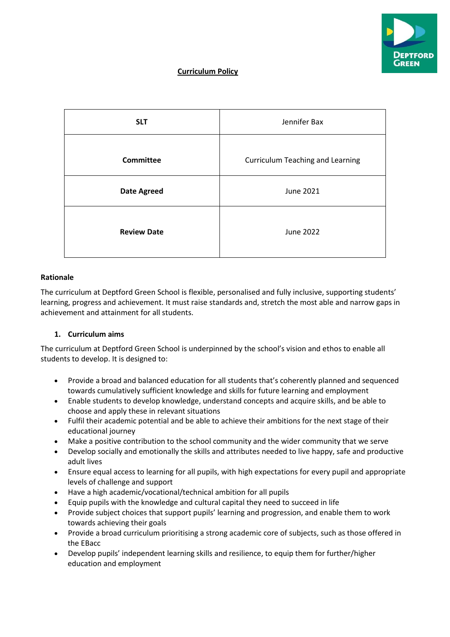

# **Curriculum Policy**

| <b>SLT</b>         | Jennifer Bax                            |  |  |  |
|--------------------|-----------------------------------------|--|--|--|
| <b>Committee</b>   | <b>Curriculum Teaching and Learning</b> |  |  |  |
| <b>Date Agreed</b> | June 2021                               |  |  |  |
| <b>Review Date</b> | <b>June 2022</b>                        |  |  |  |

# **Rationale**

The curriculum at Deptford Green School is flexible, personalised and fully inclusive, supporting students' learning, progress and achievement. It must raise standards and, stretch the most able and narrow gaps in achievement and attainment for all students.

# **1. Curriculum aims**

The curriculum at Deptford Green School is underpinned by the school's vision and ethos to enable all students to develop. It is designed to:

- Provide a broad and balanced education for all students that's coherently planned and sequenced towards cumulatively sufficient knowledge and skills for future learning and employment
- Enable students to develop knowledge, understand concepts and acquire skills, and be able to choose and apply these in relevant situations
- Fulfil their academic potential and be able to achieve their ambitions for the next stage of their educational journey
- Make a positive contribution to the school community and the wider community that we serve
- Develop socially and emotionally the skills and attributes needed to live happy, safe and productive adult lives
- Ensure equal access to learning for all pupils, with high expectations for every pupil and appropriate levels of challenge and support
- Have a high academic/vocational/technical ambition for all pupils
- Equip pupils with the knowledge and cultural capital they need to succeed in life
- Provide subject choices that support pupils' learning and progression, and enable them to work towards achieving their goals
- Provide a broad curriculum prioritising a strong academic core of subjects, such as those offered in the EBacc
- Develop pupils' independent learning skills and resilience, to equip them for further/higher education and employment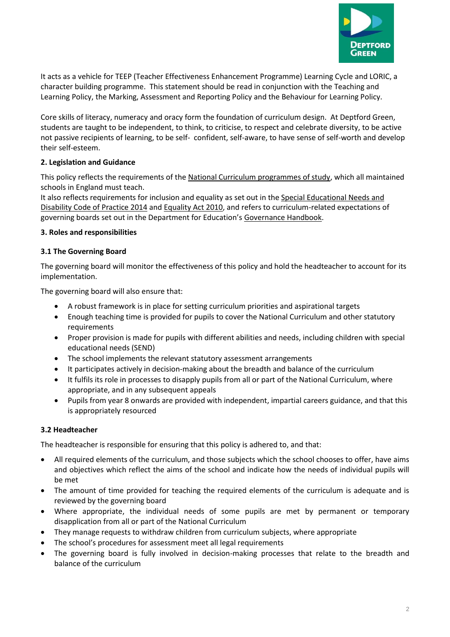

It acts as a vehicle for TEEP (Teacher Effectiveness Enhancement Programme) Learning Cycle and LORIC, a character building programme. This statement should be read in conjunction with the Teaching and Learning Policy, the Marking, Assessment and Reporting Policy and the Behaviour for Learning Policy.

Core skills of literacy, numeracy and oracy form the foundation of curriculum design. At Deptford Green, students are taught to be independent, to think, to criticise, to respect and celebrate diversity, to be active not passive recipients of learning, to be self- confident, self-aware, to have sense of self-worth and develop their self-esteem.

# **2. Legislation and Guidance**

This policy reflects the requirements of th[e National Curriculum programmes of study,](https://www.gov.uk/government/collections/national-curriculum) which all maintained schools in England must teach.

It also reflects requirements for inclusion and equality as set out in the Special Educational Needs and [Disability Code of Practice 2014](https://www.gov.uk/government/publications/send-code-of-practice-0-to-25) an[d Equality Act 2010,](http://www.legislation.gov.uk/ukpga/2010/15/part/6/chapter/1) and refers to curriculum-related expectations of governing boards set out in the Department for Education's [Governance Handbook.](https://www.gov.uk/government/publications/governance-handbook)

# **3. Roles and responsibilities**

# **3.1 The Governing Board**

The governing board will monitor the effectiveness of this policy and hold the headteacher to account for its implementation.

The governing board will also ensure that:

- A robust framework is in place for setting curriculum priorities and aspirational targets
- Enough teaching time is provided for pupils to cover the National Curriculum and other statutory requirements
- Proper provision is made for pupils with different abilities and needs, including children with special educational needs (SEND)
- The school implements the relevant statutory assessment arrangements
- It participates actively in decision-making about the breadth and balance of the curriculum
- It fulfils its role in processes to disapply pupils from all or part of the National Curriculum, where appropriate, and in any subsequent appeals
- Pupils from year 8 onwards are provided with independent, impartial careers guidance, and that this is appropriately resourced

# **3.2 Headteacher**

The headteacher is responsible for ensuring that this policy is adhered to, and that:

- All required elements of the curriculum, and those subjects which the school chooses to offer, have aims and objectives which reflect the aims of the school and indicate how the needs of individual pupils will be met
- The amount of time provided for teaching the required elements of the curriculum is adequate and is reviewed by the governing board
- Where appropriate, the individual needs of some pupils are met by permanent or temporary disapplication from all or part of the National Curriculum
- They manage requests to withdraw children from curriculum subjects, where appropriate
- The school's procedures for assessment meet all legal requirements
- The governing board is fully involved in decision-making processes that relate to the breadth and balance of the curriculum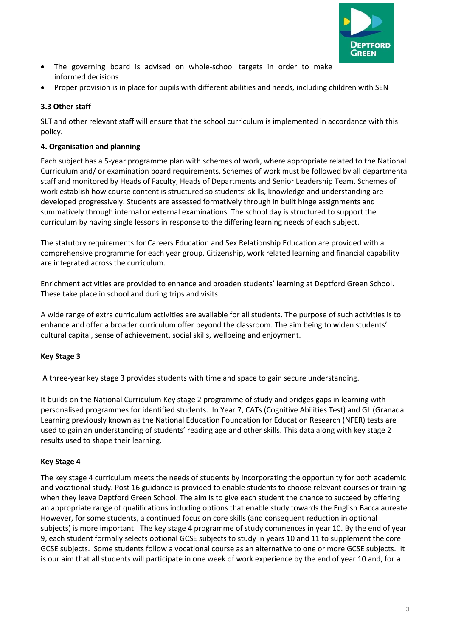

- The governing board is advised on whole-school targets in order to make informed decisions
- Proper provision is in place for pupils with different abilities and needs, including children with SEN

# **3.3 Other staff**

SLT and other relevant staff will ensure that the school curriculum is implemented in accordance with this policy.

# **4. Organisation and planning**

Each subject has a 5-year programme plan with schemes of work, where appropriate related to the National Curriculum and/ or examination board requirements. Schemes of work must be followed by all departmental staff and monitored by Heads of Faculty, Heads of Departments and Senior Leadership Team. Schemes of work establish how course content is structured so students' skills, knowledge and understanding are developed progressively. Students are assessed formatively through in built hinge assignments and summatively through internal or external examinations. The school day is structured to support the curriculum by having single lessons in response to the differing learning needs of each subject.

The statutory requirements for Careers Education and Sex Relationship Education are provided with a comprehensive programme for each year group. Citizenship, work related learning and financial capability are integrated across the curriculum.

Enrichment activities are provided to enhance and broaden students' learning at Deptford Green School. These take place in school and during trips and visits.

A wide range of extra curriculum activities are available for all students. The purpose of such activities is to enhance and offer a broader curriculum offer beyond the classroom. The aim being to widen students' cultural capital, sense of achievement, social skills, wellbeing and enjoyment.

# **Key Stage 3**

A three-year key stage 3 provides students with time and space to gain secure understanding.

It builds on the National Curriculum Key stage 2 programme of study and bridges gaps in learning with personalised programmes for identified students. In Year 7, CATs (Cognitive Abilities Test) and GL (Granada Learning previously known as the National Education Foundation for Education Research (NFER) tests are used to gain an understanding of students' reading age and other skills. This data along with key stage 2 results used to shape their learning.

# **Key Stage 4**

The key stage 4 curriculum meets the needs of students by incorporating the opportunity for both academic and vocational study. Post 16 guidance is provided to enable students to choose relevant courses or training when they leave Deptford Green School. The aim is to give each student the chance to succeed by offering an appropriate range of qualifications including options that enable study towards the English Baccalaureate. However, for some students, a continued focus on core skills (and consequent reduction in optional subjects) is more important. The key stage 4 programme of study commences in year 10. By the end of year 9, each student formally selects optional GCSE subjects to study in years 10 and 11 to supplement the core GCSE subjects. Some students follow a vocational course as an alternative to one or more GCSE subjects. It is our aim that all students will participate in one week of work experience by the end of year 10 and, for a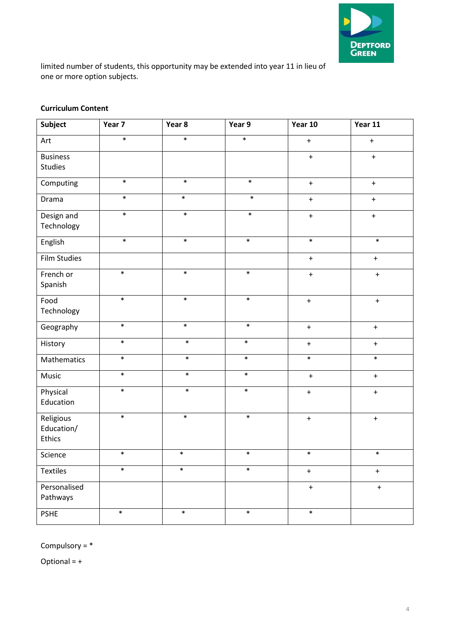

limited number of students, this opportunity may be extended into year 11 in lieu of one or more option subjects.

#### **Curriculum Content**

| Subject                           | Year 7 | Year 8 | Year 9 | Year 10          | Year 11          |
|-----------------------------------|--------|--------|--------|------------------|------------------|
| Art                               | $\ast$ | $\ast$ | $\ast$ | $\pm$            | $\ddot{}$        |
| <b>Business</b><br><b>Studies</b> |        |        |        | $\pm$            | $+$              |
| Computing                         | $\ast$ | $\ast$ | $\ast$ | $\boldsymbol{+}$ | $\bf +$          |
| Drama                             | $\ast$ | $\ast$ | $\ast$ | $\pm$            | $\boldsymbol{+}$ |
| Design and<br>Technology          | $\ast$ | $\ast$ | $\ast$ | $+$              | $\ddot{}$        |
| English                           | $\ast$ | $\ast$ | $\ast$ | $\ast$           | $\ast$           |
| <b>Film Studies</b>               |        |        |        | $\pm$            | $\ddot{}$        |
| French or<br>Spanish              | $\ast$ | $\ast$ | $\ast$ | $+$              | $+$              |
| Food<br>Technology                | $\ast$ | $\ast$ | $\ast$ | $\bf{+}$         | $\boldsymbol{+}$ |
| Geography                         | $\ast$ | $\ast$ | $\ast$ | $\bf{+}$         | $\ddot{}$        |
| History                           | $\ast$ | $\ast$ | $\ast$ | $\pm$            | $+$              |
| Mathematics                       | $\ast$ | $\ast$ | $\ast$ | $\ast$           | $\ast$           |
| Music                             | $\ast$ | $\ast$ | $\ast$ | $\pm$            | $\ddot{}$        |
| Physical<br>Education             | $\ast$ | $\ast$ | $\ast$ | $\boldsymbol{+}$ | $\ddot{}$        |
| Religious<br>Education/<br>Ethics | $\ast$ | $\ast$ | $\ast$ | $\bf{+}$         | $\ddot{}$        |
| Science                           | $\ast$ | $\ast$ | $\ast$ | $\ast$           | $\ast$           |
| <b>Textiles</b>                   | $\ast$ | $\ast$ | $\ast$ | $\ddot{}$        | $\pm$            |
| Personalised<br>Pathways          |        |        |        | $\boldsymbol{+}$ | $\ddot{}$        |
| PSHE                              | $\ast$ | $\ast$ | $\ast$ | $\ast$           |                  |

Compulsory = \*

Optional = +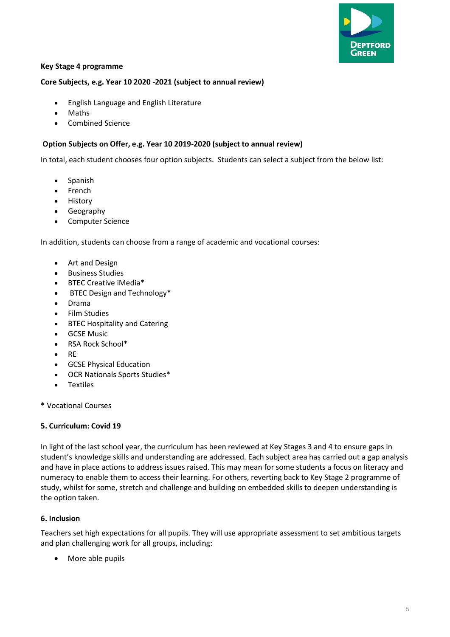

# **Key Stage 4 programme**

#### **Core Subjects, e.g. Year 10 2020 -2021 (subject to annual review)**

- English Language and English Literature
- Maths
- Combined Science

#### **Option Subjects on Offer, e.g. Year 10 2019-2020 (subject to annual review)**

In total, each student chooses four option subjects. Students can select a subject from the below list:

- Spanish
- **French**
- History
- Geography
- Computer Science

In addition, students can choose from a range of academic and vocational courses:

- Art and Design
- Business Studies
- BTEC Creative iMedia\*
- BTEC Design and Technology\*
- Drama
- Film Studies
- BTEC Hospitality and Catering
- GCSE Music
- RSA Rock School\*
- RE
- GCSE Physical Education
- OCR Nationals Sports Studies\*
- **Textiles**
- **\*** Vocational Courses

#### **5. Curriculum: Covid 19**

In light of the last school year, the curriculum has been reviewed at Key Stages 3 and 4 to ensure gaps in student's knowledge skills and understanding are addressed. Each subject area has carried out a gap analysis and have in place actions to address issues raised. This may mean for some students a focus on literacy and numeracy to enable them to access their learning. For others, reverting back to Key Stage 2 programme of study, whilst for some, stretch and challenge and building on embedded skills to deepen understanding is the option taken.

#### **6. Inclusion**

Teachers set high expectations for all pupils. They will use appropriate assessment to set ambitious targets and plan challenging work for all groups, including:

• More able pupils